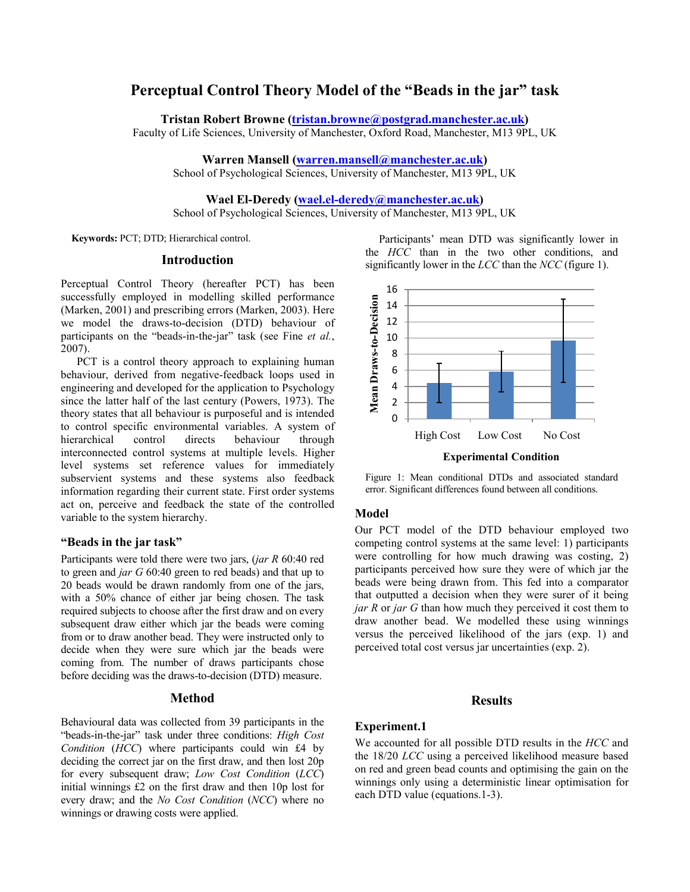# **Perceptual Control Theory Model of the "Beads in the jar" task**

**Tristan Robert Browne [\(tristan.browne@postgrad.manchester.ac.uk\)](mailto:tristan.browne@postgrad.manchester.ac.uk)**

Faculty of Life Sciences, University of Manchester, Oxford Road, Manchester, M13 9PL, UK

**Warren Mansell [\(warren.mansell@manchester.ac.uk\)](mailto:warren.mansell@manchester.ac.uk)** School of Psychological Sciences, University of Manchester, M13 9PL, UK

**Wael El-Deredy [\(wael.el-deredy@manchester.ac.uk\)](mailto:wael.el-deredy@manchester.ac.uk)**

School of Psychological Sciences, University of Manchester, M13 9PL, UK

**Keywords:** PCT; DTD; Hierarchical control.

# **Introduction**

Perceptual Control Theory (hereafter PCT) has been successfully employed in modelling skilled performance (Marken, 2001) and prescribing errors (Marken, 2003). Here we model the draws-to-decision (DTD) behaviour of participants on the "beads-in-the-jar" task (see Fine *et al.*, 2007).

PCT is a control theory approach to explaining human behaviour, derived from negative-feedback loops used in engineering and developed for the application to Psychology since the latter half of the last century (Powers, 1973). The theory states that all behaviour is purposeful and is intended to control specific environmental variables. A system of hierarchical control directs behaviour through interconnected control systems at multiple levels. Higher level systems set reference values for immediately subservient systems and these systems also feedback information regarding their current state. First order systems act on, perceive and feedback the state of the controlled variable to the system hierarchy.

# **"Beads in the jar task"**

Participants were told there were two jars, (*jar R* 60:40 red to green and *jar G* 60:40 green to red beads) and that up to 20 beads would be drawn randomly from one of the jars, with a 50% chance of either jar being chosen. The task required subjects to choose after the first draw and on every subsequent draw either which jar the beads were coming from or to draw another bead. They were instructed only to decide when they were sure which jar the beads were coming from. The number of draws participants chose before deciding was the draws-to-decision (DTD) measure.

### **Method**

Behavioural data was collected from 39 participants in the "beads-in-the-jar" task under three conditions: *High Cost Condition* (*HCC*) where participants could win £4 by deciding the correct jar on the first draw, and then lost 20p for every subsequent draw; *Low Cost Condition* (*LCC*) initial winnings £2 on the first draw and then 10p lost for every draw; and the *No Cost Condition* (*NCC*) where no winnings or drawing costs were applied.

Participants' mean DTD was significantly lower in the *HCC* than in the two other conditions, and significantly lower in the *LCC* than the *NCC* (figure 1).



**Experimental Condition**

Figure 1: Mean conditional DTDs and associated standard error. Significant differences found between all conditions.

#### **Model**

Our PCT model of the DTD behaviour employed two competing control systems at the same level: 1) participants were controlling for how much drawing was costing, 2) participants perceived how sure they were of which jar the beads were being drawn from. This fed into a comparator that outputted a decision when they were surer of it being *jar R* or *jar G* than how much they perceived it cost them to draw another bead. We modelled these using winnings versus the perceived likelihood of the jars (exp. 1) and perceived total cost versus jar uncertainties (exp. 2).

### **Results**

# **Experiment.1**

We accounted for all possible DTD results in the *HCC* and the 18/20 *LCC* using a perceived likelihood measure based on red and green bead counts and optimising the gain on the winnings only using a deterministic linear optimisation for each DTD value (equations.1-3).